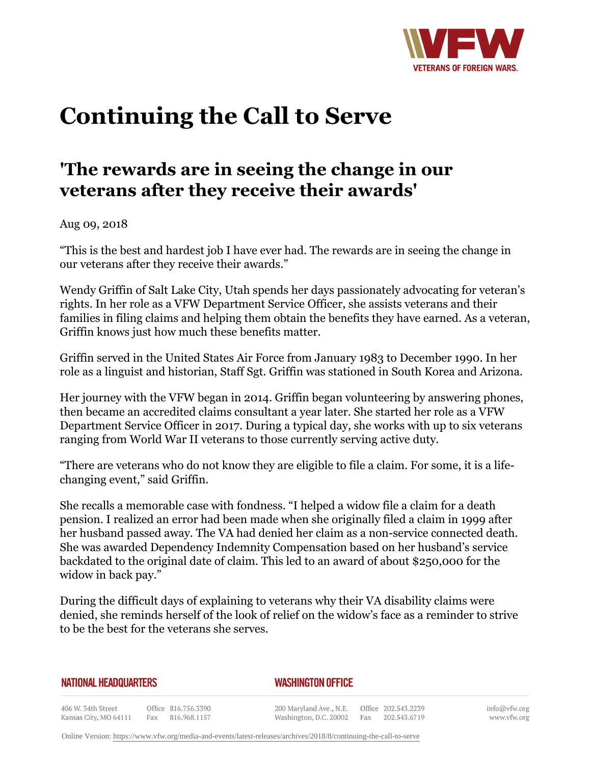

## **Continuing the Call to Serve**

## **'The rewards are in seeing the change in our veterans after they receive their awards'**

Aug 09, 2018

"This is the best and hardest job I have ever had. The rewards are in seeing the change in our veterans after they receive their awards."

Wendy Griffin of Salt Lake City, Utah spends her days passionately advocating for veteran's rights. In her role as a VFW Department Service Officer, she assists veterans and their families in filing claims and helping them obtain the benefits they have earned. As a veteran, Griffin knows just how much these benefits matter.

Griffin served in the United States Air Force from January 1983 to December 1990. In her role as a linguist and historian, Staff Sgt. Griffin was stationed in South Korea and Arizona.

Her journey with the VFW began in 2014. Griffin began volunteering by answering phones, then became an accredited claims consultant a year later. She started her role as a VFW Department Service Officer in 2017. During a typical day, she works with up to six veterans ranging from World War II veterans to those currently serving active duty.

"There are veterans who do not know they are eligible to file a claim. For some, it is a lifechanging event," said Griffin.

She recalls a memorable case with fondness. "I helped a widow file a claim for a death pension. I realized an error had been made when she originally filed a claim in 1999 after her husband passed away. The VA had denied her claim as a non-service connected death. She was awarded Dependency Indemnity Compensation based on her husband's service backdated to the original date of claim. This led to an award of about \$250,000 for the widow in back pay."

During the difficult days of explaining to veterans why their VA disability claims were denied, she reminds herself of the look of relief on the widow's face as a reminder to strive to be the best for the veterans she serves.

## **NATIONAL HEADQUARTERS**

## *WASHINGTON OFFICE*

406 W. 34th Street Office 816.756.3390 Kansas City, MO 64111 Fax 816.968.1157

200 Maryland Ave., N.E. Washington, D.C. 20002 Fax

Office 202.543.2239 202.543.6719 info@vfw.org www.vfw.org